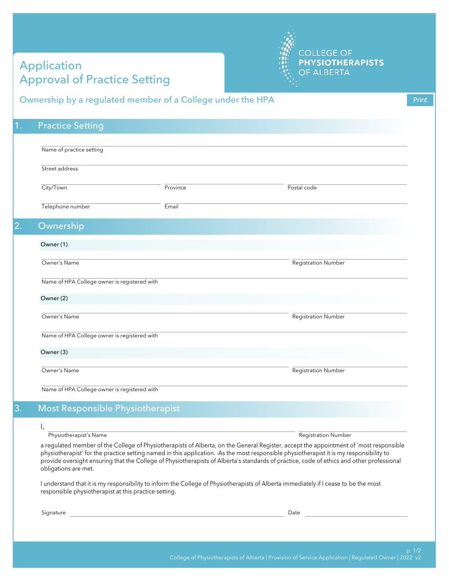## Application Approval of Practice Setting



## Ownership by a regulated member of a College under the HPA

| <b>Practice Setting</b>                      |          |                            |
|----------------------------------------------|----------|----------------------------|
| Name of practice setting                     |          |                            |
| Street address                               |          |                            |
| City/Town                                    | Province | Postal code                |
| Telephone number                             | Email    |                            |
| Ownership                                    |          |                            |
| Owner (1)                                    |          |                            |
| Owner's Name                                 |          | <b>Registration Number</b> |
| Name of HPA College owner is registered with |          |                            |
| Owner (2)                                    |          |                            |
| Owner's Name                                 |          | <b>Registration Number</b> |
| Name of HPA College owner is registered with |          |                            |
| Owner (3)                                    |          |                            |
| Owner's Name                                 |          | <b>Registration Number</b> |
| Name of HPA College owner is registered with |          |                            |

## I,

## Physiotherapist's Name Registration Number Registration Number

a regulated member of the College of Physiotherapists of Alberta, on the General Register, accept the appointment of 'most responsible physiotherapist' for the practice setting named in this application. As the most responsible physiotherapist it is my responsibility to provide oversight ensuring that the College of Physiotherapists of Alberta's standards of practice, code of ethics and other professional obligations are met.

I understand that it is my responsibility to inform the College of Physiotherapists of Alberta immediately if I cease to be the most responsible physiotherapist at this practice setting.

Signature Date of the Date of the Date of the Date of the Date of the Date of the Date of the Date of the Date of the Date of the Date of the Date of the Date of the Date of the Date of the Date of the Date of the Date of